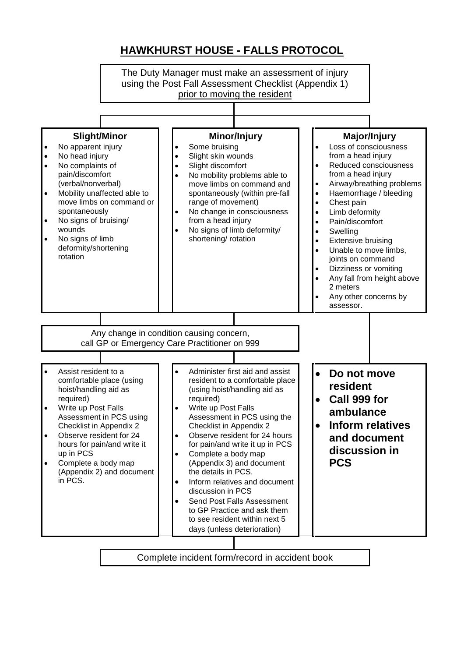## **HAWKHURST HOUSE - FALLS PROTOCOL**



Complete incident form/record in accident book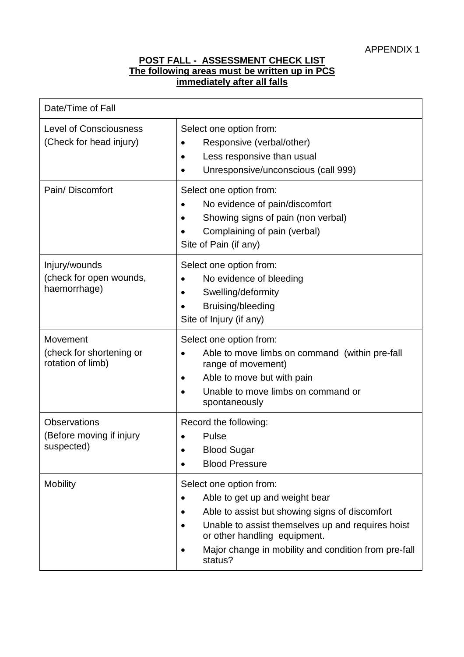## **POST FALL - ASSESSMENT CHECK LIST The following areas must be written up in PCS immediately after all falls**

| Date/Time of Fall                                             |                                                                                                                                                                                                                                                                     |
|---------------------------------------------------------------|---------------------------------------------------------------------------------------------------------------------------------------------------------------------------------------------------------------------------------------------------------------------|
| <b>Level of Consciousness</b><br>(Check for head injury)      | Select one option from:<br>Responsive (verbal/other)<br>Less responsive than usual<br>Unresponsive/unconscious (call 999)                                                                                                                                           |
| Pain/Discomfort                                               | Select one option from:<br>No evidence of pain/discomfort<br>Showing signs of pain (non verbal)<br>Complaining of pain (verbal)<br>Site of Pain (if any)                                                                                                            |
| Injury/wounds<br>(check for open wounds,<br>haemorrhage)      | Select one option from:<br>No evidence of bleeding<br>Swelling/deformity<br>Bruising/bleeding<br>Site of Injury (if any)                                                                                                                                            |
| Movement<br>(check for shortening or<br>rotation of limb)     | Select one option from:<br>Able to move limbs on command (within pre-fall<br>range of movement)<br>Able to move but with pain<br>$\bullet$<br>Unable to move limbs on command or<br>spontaneously                                                                   |
| <b>Observations</b><br>(Before moving if injury<br>suspected) | Record the following:<br>Pulse<br><b>Blood Sugar</b><br><b>Blood Pressure</b>                                                                                                                                                                                       |
| <b>Mobility</b>                                               | Select one option from:<br>Able to get up and weight bear<br>Able to assist but showing signs of discomfort<br>Unable to assist themselves up and requires hoist<br>or other handling equipment.<br>Major change in mobility and condition from pre-fall<br>status? |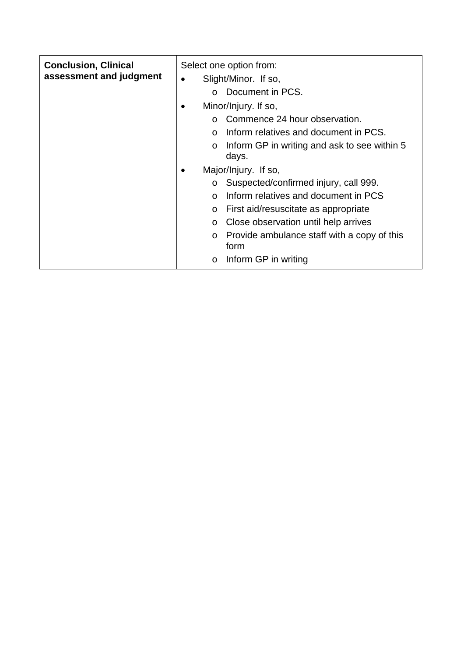| <b>Conclusion, Clinical</b><br>assessment and judgment | Select one option from:<br>Slight/Minor. If so,<br>$\bullet$<br>Document in PCS.<br>$\Omega$<br>Minor/Injury. If so,<br>٠<br>Commence 24 hour observation.<br>$\Omega$<br>Inform relatives and document in PCS.<br>$\Omega$<br>Inform GP in writing and ask to see within 5<br>$\circ$<br>days. |  |
|--------------------------------------------------------|-------------------------------------------------------------------------------------------------------------------------------------------------------------------------------------------------------------------------------------------------------------------------------------------------|--|
|                                                        | Major/Injury. If so,<br>$\bullet$<br>Suspected/confirmed injury, call 999.<br>$\circ$                                                                                                                                                                                                           |  |
|                                                        | Inform relatives and document in PCS<br>$\Omega$                                                                                                                                                                                                                                                |  |
|                                                        | First aid/resuscitate as appropriate<br>$\circ$                                                                                                                                                                                                                                                 |  |
|                                                        | Close observation until help arrives<br>$\circ$                                                                                                                                                                                                                                                 |  |
|                                                        | Provide ambulance staff with a copy of this<br>$\circ$<br>form                                                                                                                                                                                                                                  |  |
|                                                        | Inform GP in writing<br>$\circ$                                                                                                                                                                                                                                                                 |  |